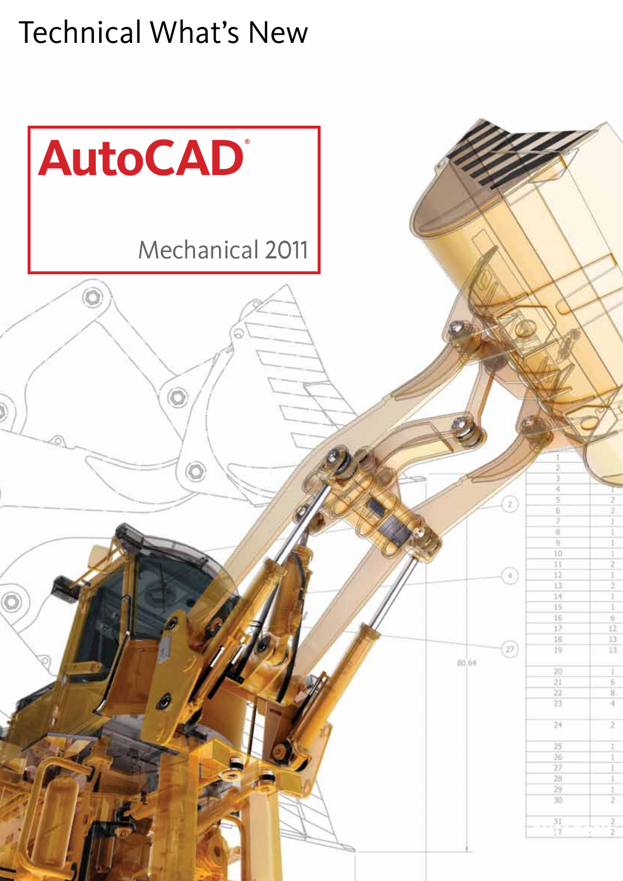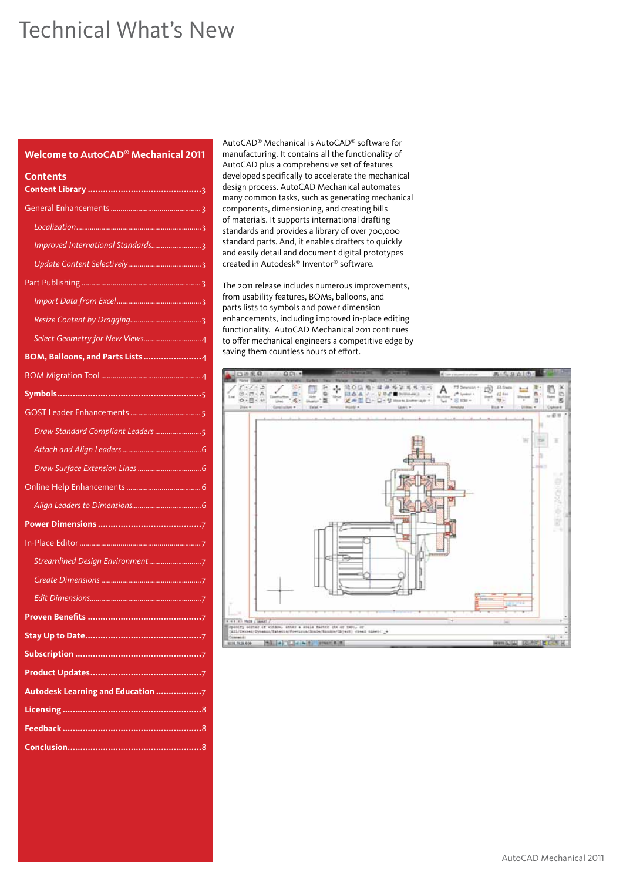# **Welcome to AutoCAD® Mechanical 2011**

| Contents                          |
|-----------------------------------|
|                                   |
|                                   |
| Improved International Standards3 |
|                                   |
|                                   |
|                                   |
|                                   |
|                                   |
| BOM, Balloons, and Parts Lists4   |
|                                   |
|                                   |
|                                   |
| Draw Standard Compliant Leaders 5 |
|                                   |
|                                   |
|                                   |
|                                   |
|                                   |
|                                   |
|                                   |
|                                   |
|                                   |
|                                   |
| 57                                |
|                                   |
|                                   |
| Autodesk Learning and Education 7 |
|                                   |
|                                   |
|                                   |

AutoCAD® Mechanical is AutoCAD® software for manufacturing. It contains all the functionality of AutoCAD plus a comprehensive set of features developed specifically to accelerate the mechanical design process. AutoCAD Mechanical automates many common tasks, such as generating mechanical components, dimensioning, and creating bills of materials. It supports international drafting standards and provides a library of over 700,000 standard parts. And, it enables drafters to quickly and easily detail and document digital prototypes created in Autodesk® Inventor® software.

The 2011 release includes numerous improvements, from usability features, BOMs, balloons, and parts lists to symbols and power dimension enhancements, including improved in-place editing functionality. AutoCAD Mechanical 2011 continues to offer mechanical engineers a competitive edge by saving them countless hours of effort.

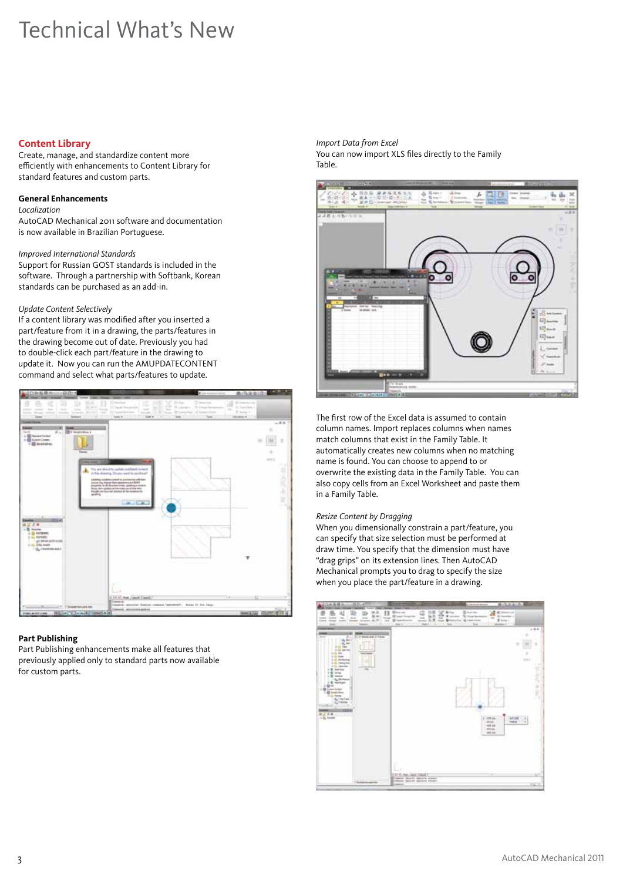## **Content Library**

Create, manage, and standardize content more efficiently with enhancements to Content Library for standard features and custom parts.

### **General Enhancements**

*Localization*

AutoCAD Mechanical 2011 software and documentation is now available in Brazilian Portuguese.

### *Improved International Standards*

Support for Russian GOST standards is included in the software. Through a partnership with Softbank, Korean standards can be purchased as an add-in.

### *Update Content Selectively*

If a content library was modified after you inserted a part/feature from it in a drawing, the parts/features in the drawing become out of date. Previously you had to double-click each part/feature in the drawing to update it. Now you can run the AMUPDATECONTENT command and select what parts/features to update.



# **Part Publishing**

Part Publishing enhancements make all features that previously applied only to standard parts now available for custom parts.

*Import Data from Excel* You can now import XLS files directly to the Family Table.



The first row of the Excel data is assumed to contain column names. Import replaces columns when names match columns that exist in the Family Table. It automatically creates new columns when no matching name is found. You can choose to append to or overwrite the existing data in the Family Table. You can also copy cells from an Excel Worksheet and paste them in a Family Table.

# *Resize Content by Dragging*

When you dimensionally constrain a part/feature, you can specify that size selection must be performed at draw time. You specify that the dimension must have "drag grips" on its extension lines. Then AutoCAD Mechanical prompts you to drag to specify the size when you place the part/feature in a drawing.

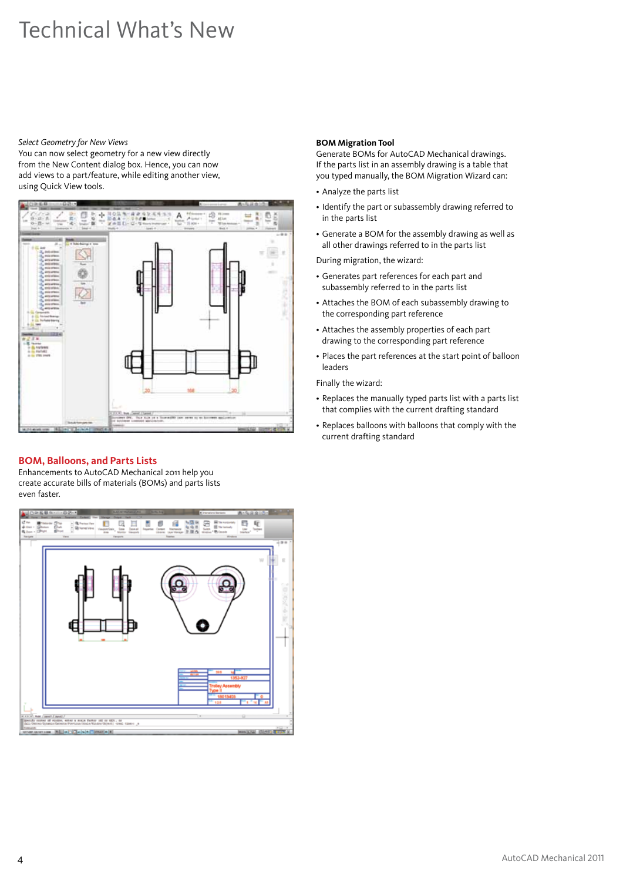#### *Select Geometry for New Views*

You can now select geometry for a new view directly from the New Content dialog box. Hence, you can now add views to a part/feature, while editing another view, using Quick View tools.



# **BOM, Balloons, and Parts Lists**

Enhancements to AutoCAD Mechanical 2011 help you create accurate bills of materials (BOMs) and parts lists even faster.



# **BOM Migration Tool**

Generate BOMs for AutoCAD Mechanical drawings. If the parts list in an assembly drawing is a table that you typed manually, the BOM Migration Wizard can:

- • Analyze the parts list
- Identify the part or subassembly drawing referred to in the parts list
- • Generate a BOM for the assembly drawing as well as all other drawings referred to in the parts list

During migration, the wizard:

- • Generates part references for each part and subassembly referred to in the parts list
- Attaches the BOM of each subassembly drawing to the corresponding part reference
- • Attaches the assembly properties of each part drawing to the corresponding part reference
- Places the part references at the start point of balloon leaders

Finally the wizard:

- Replaces the manually typed parts list with a parts list that complies with the current drafting standard
- • Replaces balloons with balloons that comply with the current drafting standard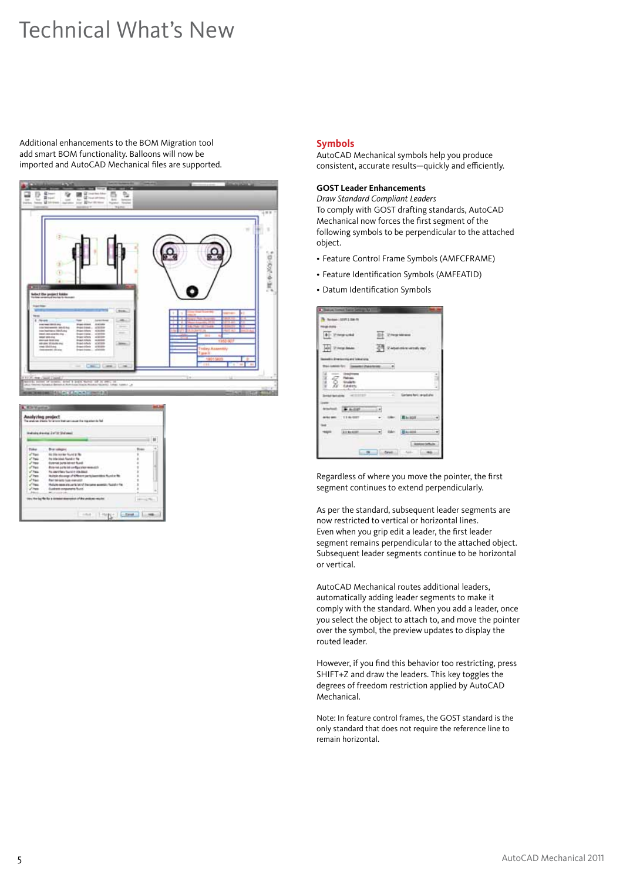Additional enhancements to the BOM Migration tool add smart BOM functionality. Balloons will now be imported and AutoCAD Mechanical files are supported.





#### **Symbols**

AutoCAD Mechanical symbols help you produce consistent, accurate results—quickly and efficiently.

#### **GOST Leader Enhancements**

*Draw Standard Compliant Leaders* To comply with GOST drafting standards, AutoCAD Mechanical now forces the first segment of the following symbols to be perpendicular to the attached object.

- • Feature Control Frame Symbols (AMFCFRAME)
- • Feature Identification Symbols (AMFEATID)
- • Datum Identification Symbols

| <b>The Law Contract Trailed Settings Rd</b> |               |                 |  |
|---------------------------------------------|---------------|-----------------|--|
| $n + 1$ the $n$<br><b>TYPICAL</b>           |               |                 |  |
|                                             |               |                 |  |
| $-1.141$                                    |               |                 |  |
|                                             |               | 6000            |  |
| <b><i><u>CAME COMMERCIAL</u></i></b>        |               |                 |  |
|                                             |               |                 |  |
|                                             |               |                 |  |
| Casten                                      |               |                 |  |
| 4122127                                     |               | ana hati jariad |  |
|                                             |               |                 |  |
|                                             | 히             |                 |  |
| 118/207                                     | <b>URI</b>    | <b>Raison</b>   |  |
|                                             |               |                 |  |
| A R No Accord                               | <b>Date:</b>  | Baseline        |  |
|                                             |               |                 |  |
| $\overline{a}$<br><b>Color</b>              | <b>Canada</b> | futiv           |  |

Regardless of where you move the pointer, the first segment continues to extend perpendicularly.

As per the standard, subsequent leader segments are now restricted to vertical or horizontal lines. Even when you grip edit a leader, the first leader segment remains perpendicular to the attached object. Subsequent leader segments continue to be horizontal or vertical.

AutoCAD Mechanical routes additional leaders, automatically adding leader segments to make it comply with the standard. When you add a leader, once you select the object to attach to, and move the pointer over the symbol, the preview updates to display the routed leader.

However, if you find this behavior too restricting, press SHIFT+Z and draw the leaders. This key toggles the degrees of freedom restriction applied by AutoCAD Mechanical.

Note: In feature control frames, the GOST standard is the only standard that does not require the reference line to remain horizontal.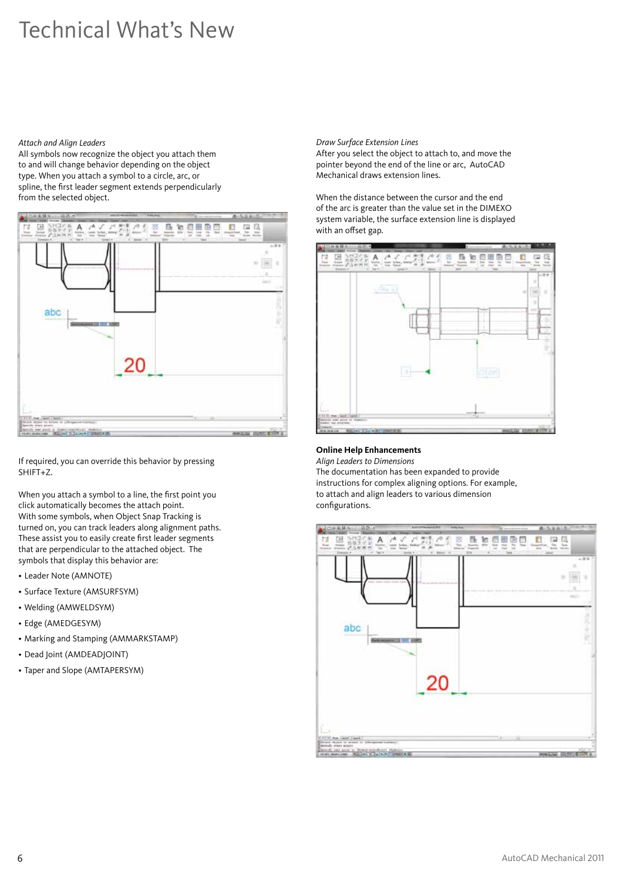#### *Attach and Align Leaders*

All symbols now recognize the object you attach them to and will change behavior depending on the object type. When you attach a symbol to a circle, arc, or spline, the first leader segment extends perpendicularly from the selected object.



If required, you can override this behavior by pressing SHIFT+Z.

When you attach a symbol to a line, the first point you click automatically becomes the attach point. With some symbols, when Object Snap Tracking is turned on, you can track leaders along alignment paths. These assist you to easily create first leader segments that are perpendicular to the attached object. The symbols that display this behavior are:

- • Leader Note (AMNOTE)
- Surface Texture (AMSURFSYM)
- • Welding (AMWELDSYM)
- Edge (AMEDGESYM)
- • Marking and Stamping (AMMARKSTAMP)
- Dead Joint (AMDEADJOINT)
- Taper and Slope (AMTAPERSYM)

#### *Draw Surface Extension Lines*

After you select the object to attach to, and move the pointer beyond the end of the line or arc, AutoCAD Mechanical draws extension lines.

When the distance between the cursor and the end of the arc is greater than the value set in the DIMEXO system variable, the surface extension line is displayed with an offset gap.



#### **Online Help Enhancements**

*Align Leaders to Dimensions* The documentation has been expanded to provide instructions for complex aligning options. For example, to attach and align leaders to various dimension configurations.

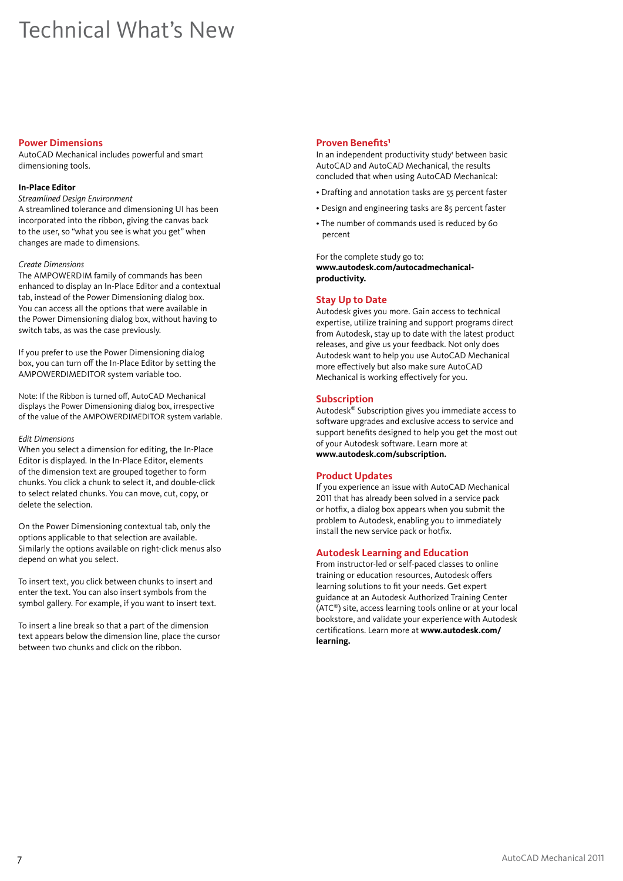#### **Power Dimensions**

AutoCAD Mechanical includes powerful and smart dimensioning tools.

#### **In-Place Editor**

*Streamlined Design Environment* A streamlined tolerance and dimensioning UI has been incorporated into the ribbon, giving the canvas back to the user, so "what you see is what you get" when changes are made to dimensions.

### *Create Dimensions*

The AMPOWERDIM family of commands has been enhanced to display an In-Place Editor and a contextual tab, instead of the Power Dimensioning dialog box. You can access all the options that were available in the Power Dimensioning dialog box, without having to switch tabs, as was the case previously.

If you prefer to use the Power Dimensioning dialog box, you can turn off the In-Place Editor by setting the AMPOWERDIMEDITOR system variable too.

Note: If the Ribbon is turned off, AutoCAD Mechanical displays the Power Dimensioning dialog box, irrespective of the value of the AMPOWERDIMEDITOR system variable.

#### *Edit Dimensions*

When you select a dimension for editing, the In-Place Editor is displayed. In the In-Place Editor, elements of the dimension text are grouped together to form chunks. You click a chunk to select it, and double-click to select related chunks. You can move, cut, copy, or delete the selection.

On the Power Dimensioning contextual tab, only the options applicable to that selection are available. Similarly the options available on right-click menus also depend on what you select.

To insert text, you click between chunks to insert and enter the text. You can also insert symbols from the symbol gallery. For example, if you want to insert text.

To insert a line break so that a part of the dimension text appears below the dimension line, place the cursor between two chunks and click on the ribbon.

# **Proven Benefits<sup>1</sup>**

In an independent productivity study' between basic AutoCAD and AutoCAD Mechanical, the results concluded that when using AutoCAD Mechanical:

- Drafting and annotation tasks are 55 percent faster
- Design and engineering tasks are 85 percent faster
- The number of commands used is reduced by 60 percent

For the complete study go to: **www.autodesk.com/autocadmechanicalproductivity.** 

# **Stay Up to Date**

Autodesk gives you more. Gain access to technical expertise, utilize training and support programs direct from Autodesk, stay up to date with the latest product releases, and give us your feedback. Not only does Autodesk want to help you use AutoCAD Mechanical more effectively but also make sure AutoCAD Mechanical is working effectively for you.

### **Subscription**

Autodesk® Subscription gives you immediate access to software upgrades and exclusive access to service and support benefits designed to help you get the most out of your Autodesk software. Learn more at **www.autodesk.com/subscription.**

#### **Product Updates**

If you experience an issue with AutoCAD Mechanical 2011 that has already been solved in a service pack or hotfix, a dialog box appears when you submit the problem to Autodesk, enabling you to immediately install the new service pack or hotfix.

#### **Autodesk Learning and Education**

From instructor-led or self-paced classes to online training or education resources, Autodesk offers learning solutions to fit your needs. Get expert guidance at an Autodesk Authorized Training Center (ATC®) site, access learning tools online or at your local bookstore, and validate your experience with Autodesk certifications. Learn more at **www.autodesk.com/ learning.**